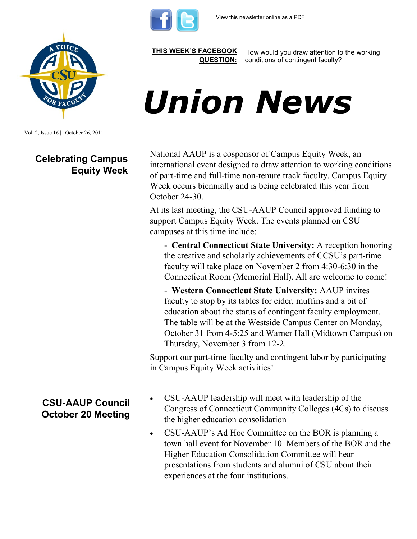



Vol. 2, Issue 16 | October 26, 2011

### **Celebrating Campus Equity Week**

#### **[THIS WEEK'S FACEBOOK](http://www.facebook.com/csuaaup#!/pages/CSU-AAUP/112907808749535)  [QUESTION:](http://www.facebook.com/csuaaup#!/pages/CSU-AAUP/112907808749535)**

How would you draw attention to the working conditions of contingent faculty?

# *Union News*

National AAUP is a cosponsor of Campus Equity Week, an international event designed to draw attention to working conditions of part-time and full-time non-tenure track faculty. Campus Equity Week occurs biennially and is being celebrated this year from October 24-30.

At its last meeting, the CSU-AAUP Council approved funding to support Campus Equity Week. The events planned on CSU campuses at this time include:

- **Central Connecticut State University:** A reception honoring the creative and scholarly achievements of CCSU's part-time faculty will take place on November 2 from 4:30-6:30 in the Connecticut Room (Memorial Hall). All are welcome to come!

- **Western Connecticut State University:** AAUP invites faculty to stop by its tables for cider, muffins and a bit of education about the status of contingent faculty employment. The table will be at the Westside Campus Center on Monday, October 31 from 4-5:25 and Warner Hall (Midtown Campus) on Thursday, November 3 from 12-2.

Support our part-time faculty and contingent labor by participating in Campus Equity Week activities!

## **CSU-AAUP Council October 20 Meeting**

- CSU-AAUP leadership will meet with leadership of the Congress of Connecticut Community Colleges (4Cs) to discuss the higher education consolidation
- CSU-AAUP's Ad Hoc Committee on the BOR is planning a town hall event for November 10. Members of the BOR and the Higher Education Consolidation Committee will hear presentations from students and alumni of CSU about their experiences at the four institutions.